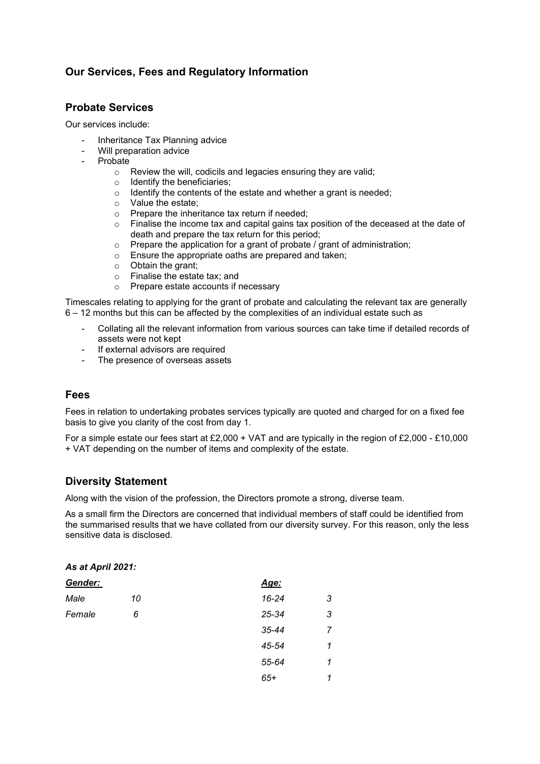# Our Services, Fees and Regulatory Information

## Probate Services

Our services include:

- Inheritance Tax Planning advice
- Will preparation advice
- **Probate** 
	- o Review the will, codicils and legacies ensuring they are valid;
	- o Identify the beneficiaries;
	- o Identify the contents of the estate and whether a grant is needed;
	- o Value the estate;
	- o Prepare the inheritance tax return if needed;
	- o Finalise the income tax and capital gains tax position of the deceased at the date of death and prepare the tax return for this period;
	- o Prepare the application for a grant of probate / grant of administration;
	- o Ensure the appropriate oaths are prepared and taken;
	- o Obtain the grant;
	- o Finalise the estate tax; and
	- o Prepare estate accounts if necessary

Timescales relating to applying for the grant of probate and calculating the relevant tax are generally 6 – 12 months but this can be affected by the complexities of an individual estate such as

- Collating all the relevant information from various sources can take time if detailed records of assets were not kept
- If external advisors are required
- The presence of overseas assets

## Fees

Fees in relation to undertaking probates services typically are quoted and charged for on a fixed fee basis to give you clarity of the cost from day 1.

For a simple estate our fees start at £2,000 + VAT and are typically in the region of £2,000 - £10,000 + VAT depending on the number of items and complexity of the estate.

## Diversity Statement

Along with the vision of the profession, the Directors promote a strong, diverse team.

As a small firm the Directors are concerned that individual members of staff could be identified from the summarised results that we have collated from our diversity survey. For this reason, only the less sensitive data is disclosed.

#### As at April 2021:

| Gender: |    | Age:      |   |
|---------|----|-----------|---|
| Male    | 10 | 16-24     | 3 |
| Female  | 6  | 25-34     | 3 |
|         |    | $35 - 44$ | 7 |
|         |    | 45-54     | 1 |
|         |    | 55-64     | 1 |
|         |    | $65+$     | 1 |